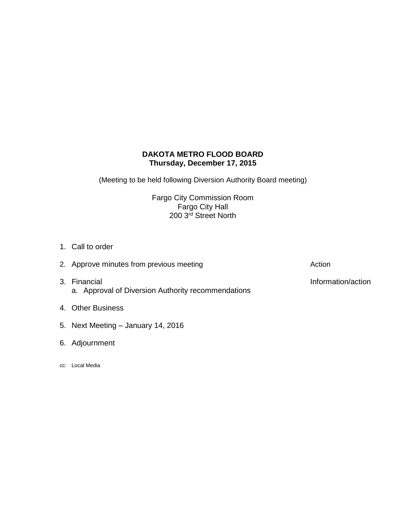# **DAKOTA METRO FLOOD BOARD Thursday, December 17, 2015**

(Meeting to be held following Diversion Authority Board meeting)

Fargo City Commission Room Fargo City Hall 200 3<sup>rd</sup> Street North

- 1. Call to order
- 3. Financial **Information/action** a. Approval of Diversion Authority recommendations
- 4. Other Business
- 5. Next Meeting January 14, 2016
- 6. Adjournment
- cc: Local Media

2. Approve minutes from previous meeting and action and action